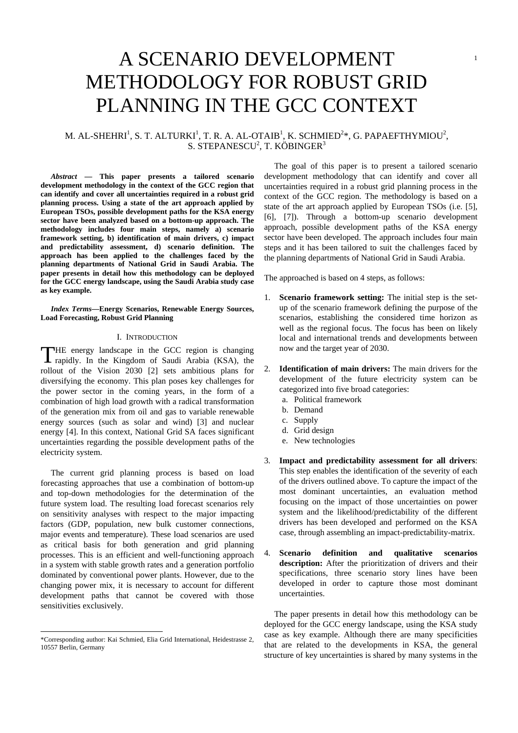# A SCENARIO DEVELOPMENT METHODOLOGY FOR ROBUST GRID PLANNING IN THE GCC CONTEXT

# M. AL-SHEHRI $^1$ , S. T. ALTURKI $^1$ , T. R. A. AL-OTAIB $^1$ , K. SCHMIED $^{2*}$ , G. PAPAEFTHYMIOU $^2$ , S. STEPANESCU $^2$ , T. KÖBINGER $^3$

*Abstract* **— This paper presents a tailored scenario development methodology in the context of the GCC region that can identify and cover all uncertainties required in a robust grid planning process. Using a state of the art approach applied by European TSOs, possible development paths for the KSA energy sector have been analyzed based on a bottom-up approach. The methodology includes four main steps, namely a) scenario framework setting, b) identification of main drivers, c) impact and predictability assessment, d) scenario definition. The approach has been applied to the challenges faced by the planning departments of National Grid in Saudi Arabia. The paper presents in detail how this methodology can be deployed for the GCC energy landscape, using the Saudi Arabia study case as key example.** 

*Index Terms***—Energy Scenarios, Renewable Energy Sources, Load Forecasting, Robust Grid Planning** 

# I. INTRODUCTION

THE energy landscape in the GCC region is changing rapidly. In the Kingdom of Saudi Arabia (KSA), the rapidly. In the Kingdom of Saudi Arabia (KSA), the rollout of the Vision 2030 [2] sets ambitious plans for diversifying the economy. This plan poses key challenges for the power sector in the coming years, in the form of a combination of high load growth with a radical transformation of the generation mix from oil and gas to variable renewable energy sources (such as solar and wind) [3] and nuclear energy [4]. In this context, National Grid SA faces significant uncertainties regarding the possible development paths of the electricity system.

The current grid planning process is based on load forecasting approaches that use a combination of bottom-up and top-down methodologies for the determination of the future system load. The resulting load forecast scenarios rely on sensitivity analyses with respect to the major impacting factors (GDP, population, new bulk customer connections, major events and temperature). These load scenarios are used as critical basis for both generation and grid planning processes. This is an efficient and well-functioning approach in a system with stable growth rates and a generation portfolio dominated by conventional power plants. However, due to the changing power mix, it is necessary to account for different development paths that cannot be covered with those sensitivities exclusively.

l

The goal of this paper is to present a tailored scenario development methodology that can identify and cover all uncertainties required in a robust grid planning process in the context of the GCC region. The methodology is based on a state of the art approach applied by European TSOs (i.e. [5], [6], [7]). Through a bottom-up scenario development approach, possible development paths of the KSA energy sector have been developed. The approach includes four main steps and it has been tailored to suit the challenges faced by the planning departments of National Grid in Saudi Arabia.

1

The approached is based on 4 steps, as follows:

- 1. **Scenario framework setting:** The initial step is the setup of the scenario framework defining the purpose of the scenarios, establishing the considered time horizon as well as the regional focus. The focus has been on likely local and international trends and developments between now and the target year of 2030.
- 2. **Identification of main drivers:** The main drivers for the development of the future electricity system can be categorized into five broad categories:
	- a. Political framework
	- b. Demand
	- c. Supply
	- d. Grid design
	- e. New technologies
- 3. **Impact and predictability assessment for all drivers**: This step enables the identification of the severity of each of the drivers outlined above. To capture the impact of the most dominant uncertainties, an evaluation method focusing on the impact of those uncertainties on power system and the likelihood/predictability of the different drivers has been developed and performed on the KSA case, through assembling an impact-predictability-matrix.
- 4. **Scenario definition and qualitative scenarios description:** After the prioritization of drivers and their specifications, three scenario story lines have been developed in order to capture those most dominant uncertainties.

The paper presents in detail how this methodology can be deployed for the GCC energy landscape, using the KSA study case as key example. Although there are many specificities that are related to the developments in KSA, the general structure of key uncertainties is shared by many systems in the

<sup>\*</sup>Corresponding author: Kai Schmied, Elia Grid International, Heidestrasse 2, 10557 Berlin, Germany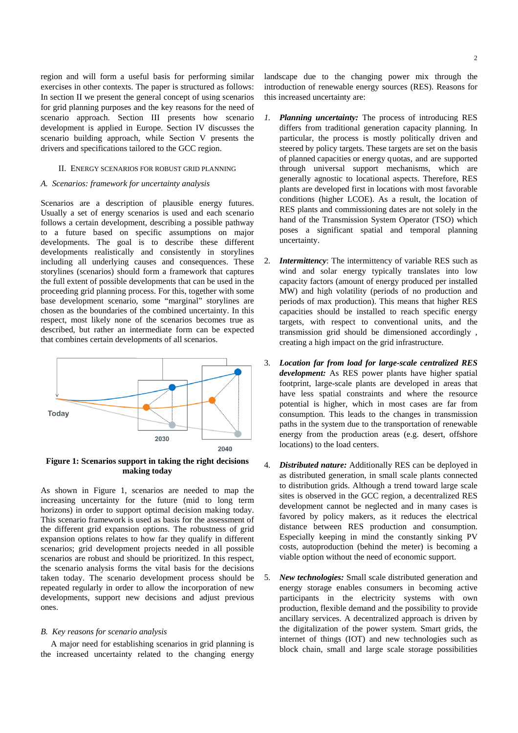region and will form a useful basis for performing similar exercises in other contexts. The paper is structured as follows: In section II we present the general concept of using scenarios for grid planning purposes and the key reasons for the need of scenario approach. Section III presents how scenario development is applied in Europe. Section IV discusses the scenario building approach, while Section V presents the drivers and specifications tailored to the GCC region.

# II. ENERGY SCENARIOS FOR ROBUST GRID PLANNING

#### *A. Scenarios: framework for uncertainty analysis*

Scenarios are a description of plausible energy futures. Usually a set of energy scenarios is used and each scenario follows a certain development, describing a possible pathway to a future based on specific assumptions on major developments. The goal is to describe these different developments realistically and consistently in storylines including all underlying causes and consequences. These storylines (scenarios) should form a framework that captures the full extent of possible developments that can be used in the proceeding grid planning process. For this, together with some base development scenario, some "marginal" storylines are chosen as the boundaries of the combined uncertainty. In this respect, most likely none of the scenarios becomes true as described, but rather an intermediate form can be expected that combines certain developments of all scenarios.



**Figure 1: Scenarios support in taking the right decisions making today** 

As shown in Figure 1, scenarios are needed to map the increasing uncertainty for the future (mid to long term horizons) in order to support optimal decision making today. This scenario framework is used as basis for the assessment of the different grid expansion options. The robustness of grid expansion options relates to how far they qualify in different scenarios; grid development projects needed in all possible scenarios are robust and should be prioritized. In this respect, the scenario analysis forms the vital basis for the decisions taken today. The scenario development process should be repeated regularly in order to allow the incorporation of new developments, support new decisions and adjust previous ones.

# *B. Key reasons for scenario analysis*

A major need for establishing scenarios in grid planning is the increased uncertainty related to the changing energy landscape due to the changing power mix through the introduction of renewable energy sources (RES). Reasons for this increased uncertainty are:

- *1. Planning uncertainty:* The process of introducing RES differs from traditional generation capacity planning. In particular, the process is mostly politically driven and steered by policy targets. These targets are set on the basis of planned capacities or energy q uotas, and are supported through universal support mechanisms, which are generally agnostic to locational aspects. Therefore, RES plants are developed first in locations with most favorable conditions (higher LCOE). As a result, the location of RES plants and commissioning dates are not solely in the hand of the Transmission System Operator (TSO) which poses a significant spatial and temporal planning uncertainty.
- 2. *Intermittency*: The intermittency of variable RES such as wind and solar energy typically translates into low capacity factors (amount of energy produced per installed MW) and high volatility (periods of no production and periods of max production). This means that higher RES capacities should be installed to reach specific energy targets, with respect to conventional units, and the transmission grid should be dimensioned accordingly , creating a high impact on the grid infrastructure.
- 3. *Location far from load for large-scale centralized RES development:* As RES power plants have higher spatial footprint, large-scale plants are developed in areas that have less spatial constraints and where the resource potential is higher, which in most cases are far from consumption. This leads to the changes in transmission paths in the system due to the transportation of renewable energy from the production areas (e.g. desert, offshore locations) to the load centers.
- 4. *Distributed nature:* Additionally RES can be deployed in as distributed generation, in small scale plants connected to distribution grids. Although a trend toward large scale sites is observed in the GCC region, a decentralized RES development cannot be neglected and in many cases is favored by policy makers, as it reduces the electrical distance between RES production and consumption. Especially keeping in mind the constantly sinking PV costs, autoproduction (behind the meter) is becoming a viable option without the need of economic support.
- 5. *New technologies:* Small scale distributed generation and energy storage enables consumers in becoming active participants in the electricity systems with own production, flexible demand and the possibility to provide ancillary services. A decentralized approach is driven by the digitalization of the power system. Smart grids, the internet of things (IOT) and new technologies such as block chain, small and large scale storage possibilities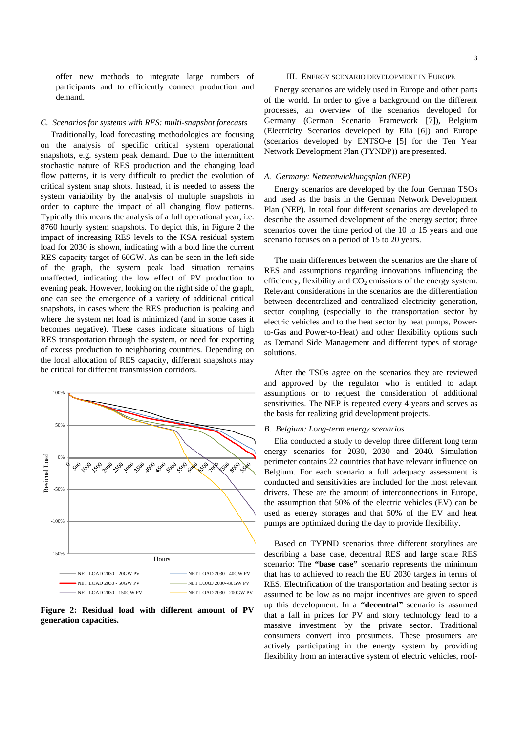offer new methods to integrate large numbers of participants and to efficiently connect production and demand.

#### *C. Scenarios for systems with RES: multi-snapshot forecasts*

Traditionally, load forecasting methodologies are focusing on the analysis of specific critical system operational snapshots, e.g. system peak demand. Due to the intermittent stochastic nature of RES production and the changing load flow patterns, it is very difficult to predict the evolution of critical system snap shots. Instead, it is needed to assess the system variability by the analysis of multiple snapshots in order to capture the impact of all changing flow patterns. Typically this means the analysis of a full operational year, i.e. 8760 hourly system snapshots. To depict this, in Figure 2 the impact of increasing RES levels to the KSA residual system load for 2030 is shown, indicating with a bold line the current RES capacity target of 60GW. As can be seen in the left side of the graph, the system peak load situation remains unaffected, indicating the low effect of PV production to evening peak. However, looking on the right side of the graph, one can see the emergence of a variety of additional critical snapshots, in cases where the RES production is peaking and where the system net load is minimized (and in some cases it becomes negative). These cases indicate situations of high RES transportation through the system, or need for exporting of excess production to neighboring countries. Depending on the local allocation of RES capacity, different snapshots may be critical for different transmission corridors.



**Figure 2: Residual load with different amount of PV generation capacities.** 

#### III. ENERGY SCENARIO DEVELOPMENT IN EUROPE

Energy scenarios are widely used in Europe and other parts of the world. In order to give a background on the different processes, an overview of the scenarios developed for Germany (German Scenario Framework [7]), Belgium (Electricity Scenarios developed by Elia [6]) and Europe (scenarios developed by ENTSO-e [5] for the Ten Year Network Development Plan (TYNDP)) are presented.

#### *A. Germany: Netzentwicklungsplan (NEP)*

Energy scenarios are developed by the four German TSOs and used as the basis in the German Network Development Plan (NEP). In total four different scenarios are developed to describe the assumed development of the energy sector; three scenarios cover the time period of the 10 to 15 years and one scenario focuses on a period of 15 to 20 years.

The main differences between the scenarios are the share of RES and assumptions regarding innovations influencing the efficiency, flexibility and  $CO<sub>2</sub>$  emissions of the energy system. Relevant considerations in the scenarios are the differentiation between decentralized and centralized electricity generation, sector coupling (especially to the transportation sector by electric vehicles and to the heat sector by heat pumps, Powerto-Gas and Power-to-Heat) and other flexibility options such as Demand Side Management and different types of storage solutions.

After the TSOs agree on the scenarios they are reviewed and approved by the regulator who is entitled to adapt assumptions or to request the consideration of additional sensitivities. The NEP is repeated every 4 years and serves as the basis for realizing grid development projects.

#### *B. Belgium: Long-term energy scenarios*

Elia conducted a study to develop three different long term energy scenarios for 2030, 2030 and 2040. Simulation perimeter contains 22 countries that have relevant influence on Belgium. For each scenario a full adequacy assessment is conducted and sensitivities are included for the most relevant drivers. These are the amount of interconnections in Europe, the assumption that 50% of the electric vehicles (EV) can be used as energy storages and that 50% of the EV and heat pumps are optimized during the day to provide flexibility.

Based on TYPND scenarios three different storylines are describing a base case, decentral RES and large scale RES scenario: The **"base case"** scenario represents the minimum that has to achieved to reach the EU 2030 targets in terms of RES. Electrification of the transportation and heating sector is assumed to be low as no major incentives are given to speed up this development. In a **"decentral"** scenario is assumed that a fall in prices for PV and story technology lead to a massive investment by the private sector. Traditional consumers convert into prosumers. These prosumers are actively participating in the energy system by providing flexibility from an interactive system of electric vehicles, roof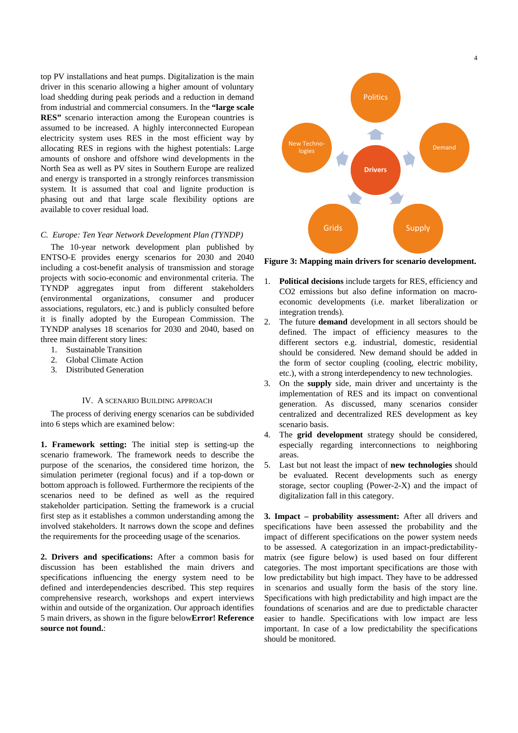top PV installations and heat pumps. Digitalization is the main driver in this scenario allowing a higher amount of voluntary load shedding during peak periods and a reduction in demand from industrial and commercial consumers. In the **"large scale RES"** scenario interaction among the European countries is assumed to be increased. A highly interconnected European electricity system uses RES in the most efficient way by allocating RES in regions with the highest potentials: Large amounts of onshore and offshore wind developments in the North Sea as well as PV sites in Southern Europe are realized and energy is transported in a strongly reinforces transmission system. It is assumed that coal and lignite production is phasing out and that large scale flexibility options are available to cover residual load.

# *C. Europe: Ten Year Network Development Plan (TYNDP)*

The 10-year network development plan published by ENTSO-E provides energy scenarios for 2030 and 2040 including a cost-benefit analysis of transmission and storage projects with socio-economic and environmental criteria. The TYNDP aggregates input from different stakeholders (environmental organizations, consumer and producer associations, regulators, etc.) and is publicly consulted before it is finally adopted by the European Commission. The TYNDP analyses 18 scenarios for 2030 and 2040, based on three main different story lines:

- 1. Sustainable Transition
- 2. Global Climate Action
- 3. Distributed Generation

#### IV. A SCENARIO BUILDING APPROACH

The process of deriving energy scenarios can be subdivided into 6 steps which are examined below:

**1. Framework setting:** The initial step is setting-up the scenario framework. The framework needs to describe the purpose of the scenarios, the considered time horizon, the simulation perimeter (regional focus) and if a top-down or bottom approach is followed. Furthermore the recipients of the scenarios need to be defined as well as the required stakeholder participation. Setting the framework is a crucial first step as it establishes a common understanding among the involved stakeholders. It narrows down the scope and defines the requirements for the proceeding usage of the scenarios.

**2. Drivers and specifications:** After a common basis for discussion has been established the main drivers and specifications influencing the energy system need to be defined and interdependencies described. This step requires comprehensive research, workshops and expert interviews within and outside of the organization. Our approach identifies 5 main drivers, as shown in the figure below**Error! Reference source not found.**:



**Figure 3: Mapping main drivers for scenario development.** 

- 1. **Political decisions** include targets for RES, efficiency and CO2 emissions but also define information on macroeconomic developments (i.e. market liberalization or integration trends).
- 2. The future **demand** development in all sectors should be defined. The impact of efficiency measures to the different sectors e.g. industrial, domestic, residential should be considered. New demand should be added in the form of sector coupling (cooling, electric mobility, etc.), with a strong interdependency to new technologies.
- 3. On the **supply** side, main driver and uncertainty is the implementation of RES and its impact on conventional generation. As discussed, many scenarios consider centralized and decentralized RES development as key scenario basis.
- 4. The **grid development** strategy should be considered, especially regarding interconnections to neighboring areas.
- 5. Last but not least the impact of **new technologies** should be evaluated. Recent developments such as energy storage, sector coupling (Power-2-X) and the impact of digitalization fall in this category.

**3. Impact – probability assessment:** After all drivers and specifications have been assessed the probability and the impact of different specifications on the power system needs to be assessed. A categorization in an impact-predictabilitymatrix (see figure below) is used based on four different categories. The most important specifications are those with low predictability but high impact. They have to be addressed in scenarios and usually form the basis of the story line. Specifications with high predictability and high impact are the foundations of scenarios and are due to predictable character easier to handle. Specifications with low impact are less important. In case of a low predictability the specifications should be monitored.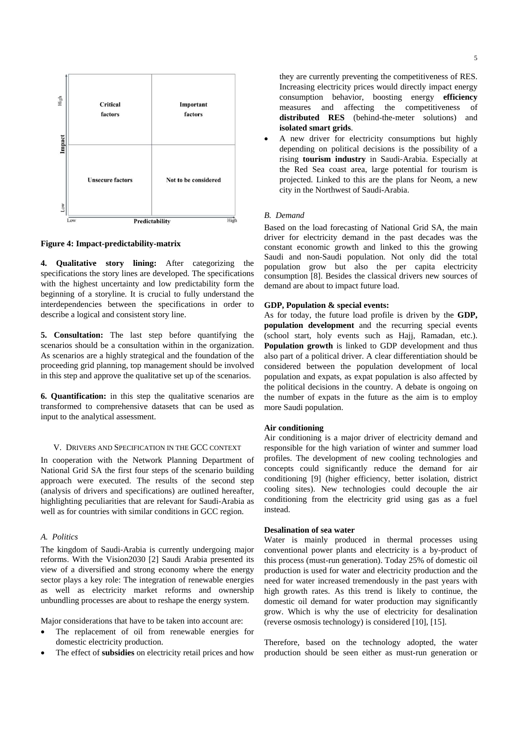

**Figure 4: Impact-predictability-matrix** 

**4. Qualitative story lining:** After categorizing the specifications the story lines are developed. The specifications with the highest uncertainty and low predictability form the beginning of a storyline. It is crucial to fully understand the interdependencies between the specifications in order to describe a logical and consistent story line.

**5. Consultation:** The last step before quantifying the scenarios should be a consultation within in the organization. As scenarios are a highly strategical and the foundation of the proceeding grid planning, top management should be involved in this step and approve the qualitative set up of the scenarios.

**6. Quantification:** in this step the qualitative scenarios are transformed to comprehensive datasets that can be used as input to the analytical assessment.

#### V. DRIVERS AND SPECIFICATION IN THE GCC CONTEXT

In cooperation with the Network Planning Department of National Grid SA the first four steps of the scenario building approach were executed. The results of the second step (analysis of drivers and specifications) are outlined hereafter, highlighting peculiarities that are relevant for Saudi-Arabia as well as for countries with similar conditions in GCC region.

# *A. Politics*

The kingdom of Saudi-Arabia is currently undergoing major reforms. With the Vision2030 [2] Saudi Arabia presented its view of a diversified and strong economy where the energy sector plays a key role: The integration of renewable energies as well as electricity market reforms and ownership unbundling processes are about to reshape the energy system.

Major considerations that have to be taken into account are:

- The replacement of oil from renewable energies for domestic electricity production.
- The effect of **subsidies** on electricity retail prices and how

they are currently preventing the competitiveness of RES. Increasing electricity prices would directly impact energy consumption behavior, boosting energy **efficiency** measures and affecting the competitiveness of **distributed RES** (behind-the-meter solutions) and **isolated smart grids**.

 A new driver for electricity consumptions but highly depending on political decisions is the possibility of a rising **tourism industry** in Saudi-Arabia. Especially at the Red Sea coast area, large potential for tourism is projected. Linked to this are the plans for Neom, a new city in the Northwest of Saudi-Arabia.

# *B. Demand*

Based on the load forecasting of National Grid SA, the main driver for electricity demand in the past decades was the constant economic growth and linked to this the growing Saudi and non-Saudi population. Not only did the total population grow but also the per capita electricity consumption [8]. Besides the classical drivers new sources of demand are about to impact future load.

#### **GDP, Population & special events:**

As for today, the future load profile is driven by the **GDP, population development** and the recurring special events (school start, holy events such as Hajj, Ramadan, etc.). **Population growth** is linked to GDP development and thus also part of a political driver. A clear differentiation should be considered between the population development of local population and expats, as expat population is also affected by the political decisions in the country. A debate is ongoing on the number of expats in the future as the aim is to employ more Saudi population.

### **Air conditioning**

Air conditioning is a major driver of electricity demand and responsible for the high variation of winter and summer load profiles. The development of new cooling technologies and concepts could significantly reduce the demand for air conditioning [9] (higher efficiency, better isolation, district cooling sites). New technologies could decouple the air conditioning from the electricity grid using gas as a fuel instead.

#### **Desalination of sea water**

Water is mainly produced in thermal processes using conventional power plants and electricity is a by-product of this process (must-run generation). Today 25% of domestic oil production is used for water and electricity production and the need for water increased tremendously in the past years with high growth rates. As this trend is likely to continue, the domestic oil demand for water production may significantly grow. Which is why the use of electricity for desalination (reverse osmosis technology) is considered [10], [15].

Therefore, based on the technology adopted, the water production should be seen either as must-run generation or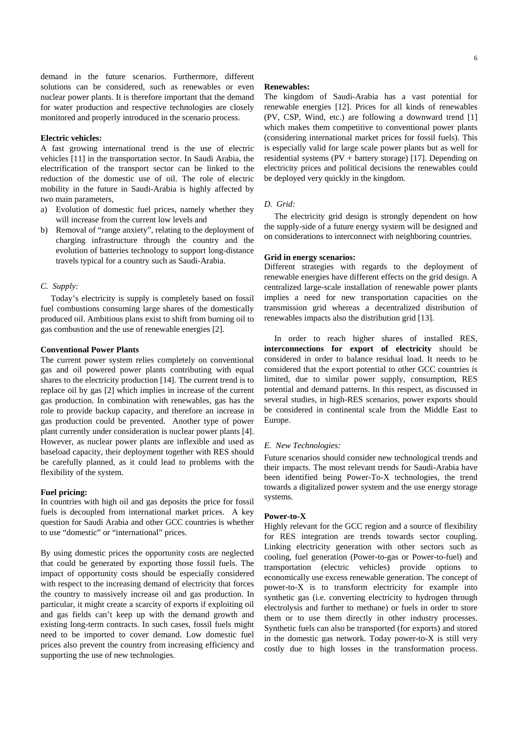demand in the future scenarios. Furthermore, different solutions can be considered, such as renewables or even nuclear power plants. It is therefore important that the demand for water production and respective technologies are closely monitored and properly introduced in the scenario process.

## **Electric vehicles:**

A fast growing international trend is the use of electric vehicles [11] in the transportation sector. In Saudi Arabia, the electrification of the transport sector can be linked to the reduction of the domestic use of oil. The role of electric mobility in the future in Saudi-Arabia is highly affected by two main parameters,

- a) Evolution of domestic fuel prices, namely whether they will increase from the current low levels and
- b) Removal of "range anxiety", relating to the deployment of charging infrastructure through the country and the evolution of batteries technology to support long-distance travels typical for a country such as Saudi-Arabia.

#### *C. Supply:*

Today's electricity is supply is completely based on fossil fuel combustions consuming large shares of the domestically produced oil. Ambitious plans exist to shift from burning oil to gas combustion and the use of renewable energies [2].

# **Conventional Power Plants**

The current power system relies completely on conventional gas and oil powered power plants contributing with equal shares to the electricity production [14]. The current trend is to replace oil by gas [2] which implies in increase of the current gas production. In combination with renewables, gas has the role to provide backup capacity, and therefore an increase in gas production could be prevented. Another type of power plant currently under consideration is nuclear power plants [4]. However, as nuclear power plants are inflexible and used as baseload capacity, their deployment together with RES should be carefully planned, as it could lead to problems with the flexibility of the system.

#### **Fuel pricing:**

In countries with high oil and gas deposits the price for fossil fuels is decoupled from international market prices. A key question for Saudi Arabia and other GCC countries is whether to use "domestic" or "international" prices.

By using domestic prices the opportunity costs are neglected that could be generated by exporting those fossil fuels. The impact of opportunity costs should be especially considered with respect to the increasing demand of electricity that forces the country to massively increase oil and gas production. In particular, it might create a scarcity of exports if exploiting oil and gas fields can't keep up with the demand growth and existing long-term contracts. In such cases, fossil fuels might need to be imported to cover demand. Low domestic fuel prices also prevent the country from increasing efficiency and supporting the use of new technologies.

#### **Renewables:**

The kingdom of Saudi-Arabia has a vast potential for renewable energies [12]. Prices for all kinds of renewables (PV, CSP, Wind, etc.) are following a downward trend [1] which makes them competitive to conventional power plants (considering international market prices for fossil fuels). This is especially valid for large scale power plants but as well for residential systems (PV + battery storage) [17]. Depending on electricity prices and political decisions the renewables could be deployed very quickly in the kingdom.

# *D. Grid:*

The electricity grid design is strongly dependent on how the supply-side of a future energy system will be designed and on considerations to interconnect with neighboring countries.

#### **Grid in energy scenarios:**

Different strategies with regards to the deployment of renewable energies have different effects on the grid design. A centralized large-scale installation of renewable power plants implies a need for new transportation capacities on the transmission grid whereas a decentralized distribution of renewables impacts also the distribution grid [13].

In order to reach higher shares of installed RES, **interconnections for export of electricity** should be considered in order to balance residual load. It needs to be considered that the export potential to other GCC countries is limited, due to similar power supply, consumption, RES potential and demand patterns. In this respect, as discussed in several studies, in high-RES scenarios, power exports should be considered in continental scale from the Middle East to Europe.

#### *E. New Technologies:*

Future scenarios should consider new technological trends and their impacts. The most relevant trends for Saudi-Arabia have been identified being Power-To-X technologies, the trend towards a digitalized power system and the use energy storage systems.

#### **Power-to-X**

Highly relevant for the GCC region and a source of flexibility for RES integration are trends towards sector coupling. Linking electricity generation with other sectors such as cooling, fuel generation (Power-to-gas or Power-to-fuel) and transportation (electric vehicles) provide options to economically use excess renewable generation. The concept of power-to-X is to transform electricity for example into synthetic gas (i.e. converting electricity to hydrogen through electrolysis and further to methane) or fuels in order to store them or to use them directly in other industry processes. Synthetic fuels can also be transported (for exports) and stored in the domestic gas network. Today power-to-X is still very costly due to high losses in the transformation process.